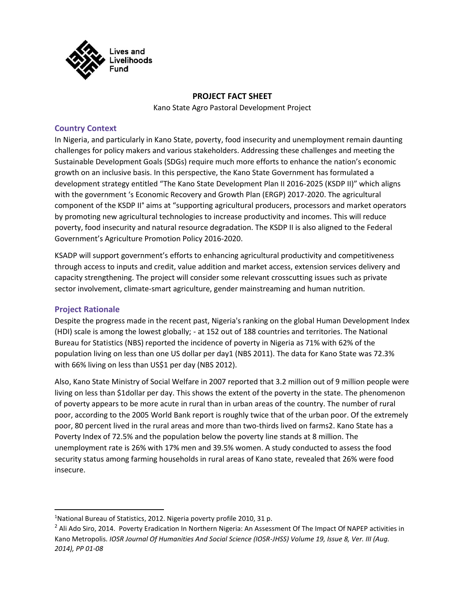

### **PROJECT FACT SHEET**

Kano State Agro Pastoral Development Project

### **Country Context**

In Nigeria, and particularly in Kano State, poverty, food insecurity and unemployment remain daunting challenges for policy makers and various stakeholders. Addressing these challenges and meeting the Sustainable Development Goals (SDGs) require much more efforts to enhance the nation's economic growth on an inclusive basis. In this perspective, the Kano State Government has formulated a development strategy entitled "The Kano State Development Plan II 2016-2025 (KSDP II)" which aligns with the government 's Economic Recovery and Growth Plan (ERGP) 2017-2020. The agricultural component of the KSDP II° aims at "supporting agricultural producers, processors and market operators by promoting new agricultural technologies to increase productivity and incomes. This will reduce poverty, food insecurity and natural resource degradation. The KSDP II is also aligned to the Federal Government's Agriculture Promotion Policy 2016-2020.

KSADP will support government's efforts to enhancing agricultural productivity and competitiveness through access to inputs and credit, value addition and market access, extension services delivery and capacity strengthening. The project will consider some relevant crosscutting issues such as private sector involvement, climate-smart agriculture, gender mainstreaming and human nutrition.

## **Project Rationale**

Despite the progress made in the recent past, Nigeria's ranking on the global Human Development Index (HDI) scale is among the lowest globally; - at 152 out of 188 countries and territories. The National Bureau for Statistics (NBS) reported the incidence of poverty in Nigeria as 71% with 62% of the population living on less than one US dollar per day1 (NBS 2011). The data for Kano State was 72.3% with 66% living on less than US\$1 per day (NBS 2012).

Also, Kano State Ministry of Social Welfare in 2007 reported that 3.2 million out of 9 million people were living on less than \$1dollar per day. This shows the extent of the poverty in the state. The phenomenon of poverty appears to be more acute in rural than in urban areas of the country. The number of rural poor, according to the 2005 World Bank report is roughly twice that of the urban poor. Of the extremely poor, 80 percent lived in the rural areas and more than two-thirds lived on farms2. Kano State has a Poverty Index of 72.5% and the population below the poverty line stands at 8 million. The unemployment rate is 26% with 17% men and 39.5% women. A study conducted to assess the food security status among farming households in rural areas of Kano state, revealed that 26% were food insecure.

<sup>&</sup>lt;sup>1</sup>National Bureau of Statistics, 2012. Nigeria poverty profile 2010, 31 p.

<sup>&</sup>lt;sup>2</sup> Ali Ado Siro, 2014. Poverty Eradication In Northern Nigeria: An Assessment Of The Impact Of NAPEP activities in Kano Metropolis. *IOSR Journal Of Humanities And Social Science (IOSR-JHSS) Volume 19, Issue 8, Ver. III (Aug. 2014), PP 01-08*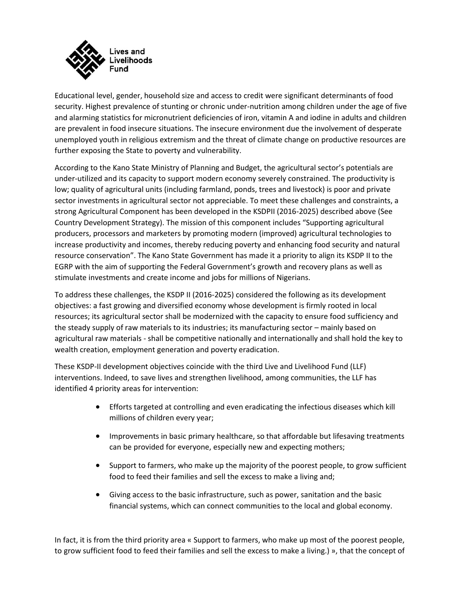

Educational level, gender, household size and access to credit were significant determinants of food security. Highest prevalence of stunting or chronic under-nutrition among children under the age of five and alarming statistics for micronutrient deficiencies of iron, vitamin A and iodine in adults and children are prevalent in food insecure situations. The insecure environment due the involvement of desperate unemployed youth in religious extremism and the threat of climate change on productive resources are further exposing the State to poverty and vulnerability.

According to the Kano State Ministry of Planning and Budget, the agricultural sector's potentials are under-utilized and its capacity to support modern economy severely constrained. The productivity is low; quality of agricultural units (including farmland, ponds, trees and livestock) is poor and private sector investments in agricultural sector not appreciable. To meet these challenges and constraints, a strong Agricultural Component has been developed in the KSDPII (2016-2025) described above (See Country Development Strategy). The mission of this component includes "Supporting agricultural producers, processors and marketers by promoting modern (improved) agricultural technologies to increase productivity and incomes, thereby reducing poverty and enhancing food security and natural resource conservation". The Kano State Government has made it a priority to align its KSDP II to the EGRP with the aim of supporting the Federal Government's growth and recovery plans as well as stimulate investments and create income and jobs for millions of Nigerians.

To address these challenges, the KSDP II (2016-2025) considered the following as its development objectives: a fast growing and diversified economy whose development is firmly rooted in local resources; its agricultural sector shall be modernized with the capacity to ensure food sufficiency and the steady supply of raw materials to its industries; its manufacturing sector – mainly based on agricultural raw materials - shall be competitive nationally and internationally and shall hold the key to wealth creation, employment generation and poverty eradication.

These KSDP-II development objectives coincide with the third Live and Livelihood Fund (LLF) interventions. Indeed, to save lives and strengthen livelihood, among communities, the LLF has identified 4 priority areas for intervention:

- Efforts targeted at controlling and even eradicating the infectious diseases which kill millions of children every year;
- Improvements in basic primary healthcare, so that affordable but lifesaving treatments can be provided for everyone, especially new and expecting mothers;
- Support to farmers, who make up the majority of the poorest people, to grow sufficient food to feed their families and sell the excess to make a living and;
- Giving access to the basic infrastructure, such as power, sanitation and the basic financial systems, which can connect communities to the local and global economy.

In fact, it is from the third priority area « Support to farmers, who make up most of the poorest people, to grow sufficient food to feed their families and sell the excess to make a living.) », that the concept of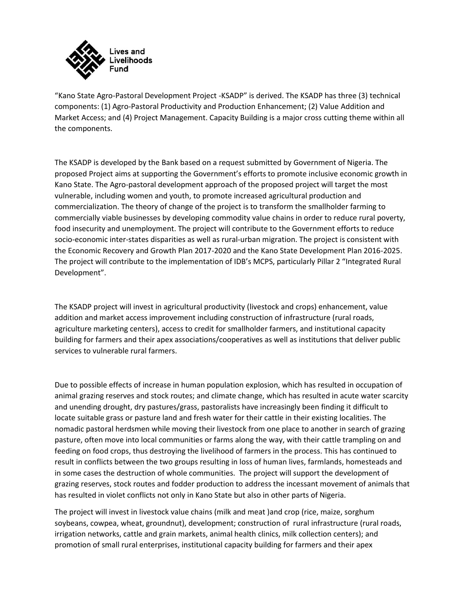

"Kano State Agro-Pastoral Development Project -KSADP" is derived. The KSADP has three (3) technical components: (1) Agro-Pastoral Productivity and Production Enhancement; (2) Value Addition and Market Access; and (4) Project Management. Capacity Building is a major cross cutting theme within all the components.

The KSADP is developed by the Bank based on a request submitted by Government of Nigeria. The proposed Project aims at supporting the Government's efforts to promote inclusive economic growth in Kano State. The Agro-pastoral development approach of the proposed project will target the most vulnerable, including women and youth, to promote increased agricultural production and commercialization. The theory of change of the project is to transform the smallholder farming to commercially viable businesses by developing commodity value chains in order to reduce rural poverty, food insecurity and unemployment. The project will contribute to the Government efforts to reduce socio-economic inter-states disparities as well as rural-urban migration. The project is consistent with the Economic Recovery and Growth Plan 2017-2020 and the Kano State Development Plan 2016-2025. The project will contribute to the implementation of IDB's MCPS, particularly Pillar 2 "Integrated Rural Development".

The KSADP project will invest in agricultural productivity (livestock and crops) enhancement, value addition and market access improvement including construction of infrastructure (rural roads, agriculture marketing centers), access to credit for smallholder farmers, and institutional capacity building for farmers and their apex associations/cooperatives as well as institutions that deliver public services to vulnerable rural farmers.

Due to possible effects of increase in human population explosion, which has resulted in occupation of animal grazing reserves and stock routes; and climate change, which has resulted in acute water scarcity and unending drought, dry pastures/grass, pastoralists have increasingly been finding it difficult to locate suitable grass or pasture land and fresh water for their cattle in their existing localities. The nomadic pastoral herdsmen while moving their livestock from one place to another in search of grazing pasture, often move into local communities or farms along the way, with their cattle trampling on and feeding on food crops, thus destroying the livelihood of farmers in the process. This has continued to result in conflicts between the two groups resulting in loss of human lives, farmlands, homesteads and in some cases the destruction of whole communities. The project will support the development of grazing reserves, stock routes and fodder production to address the incessant movement of animals that has resulted in violet conflicts not only in Kano State but also in other parts of Nigeria.

The project will invest in livestock value chains (milk and meat )and crop (rice, maize, sorghum soybeans, cowpea, wheat, groundnut), development; construction of rural infrastructure (rural roads, irrigation networks, cattle and grain markets, animal health clinics, milk collection centers); and promotion of small rural enterprises, institutional capacity building for farmers and their apex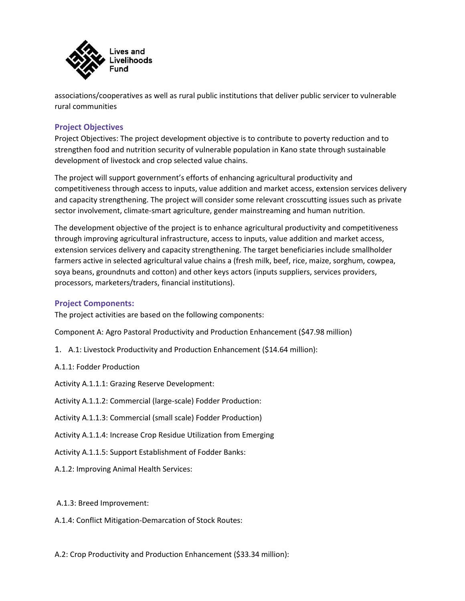

associations/cooperatives as well as rural public institutions that deliver public servicer to vulnerable rural communities

## **Project Objectives**

Project Objectives: The project development objective is to contribute to poverty reduction and to strengthen food and nutrition security of vulnerable population in Kano state through sustainable development of livestock and crop selected value chains.

The project will support government's efforts of enhancing agricultural productivity and competitiveness through access to inputs, value addition and market access, extension services delivery and capacity strengthening. The project will consider some relevant crosscutting issues such as private sector involvement, climate-smart agriculture, gender mainstreaming and human nutrition.

The development objective of the project is to enhance agricultural productivity and competitiveness through improving agricultural infrastructure, access to inputs, value addition and market access, extension services delivery and capacity strengthening. The target beneficiaries include smallholder farmers active in selected agricultural value chains a (fresh milk, beef, rice, maize, sorghum, cowpea, soya beans, groundnuts and cotton) and other keys actors (inputs suppliers, services providers, processors, marketers/traders, financial institutions).

### **Project Components:**

The project activities are based on the following components:

Component A: Agro Pastoral Productivity and Production Enhancement (\$47.98 million)

- 1. A.1: Livestock Productivity and Production Enhancement (\$14.64 million):
- A.1.1: Fodder Production

Activity A.1.1.1: Grazing Reserve Development:

- Activity A.1.1.2: Commercial (large-scale) Fodder Production:
- Activity A.1.1.3: Commercial (small scale) Fodder Production)
- Activity A.1.1.4: Increase Crop Residue Utilization from Emerging
- Activity A.1.1.5: Support Establishment of Fodder Banks:
- A.1.2: Improving Animal Health Services:

### A.1.3: Breed Improvement:

- A.1.4: Conflict Mitigation-Demarcation of Stock Routes:
- A.2: Crop Productivity and Production Enhancement (\$33.34 million):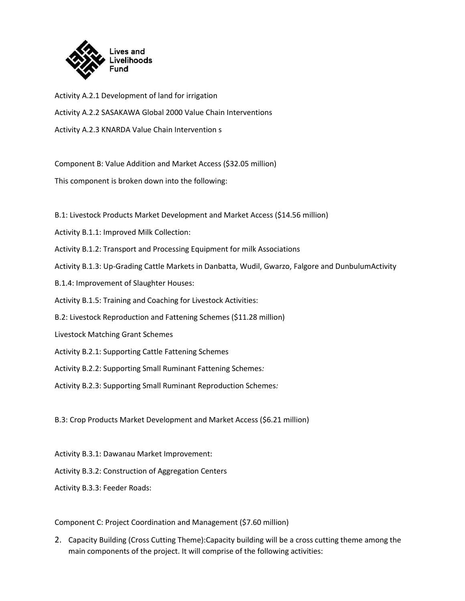

Activity A.2.1 Development of land for irrigation Activity A.2.2 SASAKAWA Global 2000 Value Chain Interventions Activity A.2.3 KNARDA Value Chain Intervention s

Component B: Value Addition and Market Access (\$32.05 million)

This component is broken down into the following:

B.1: Livestock Products Market Development and Market Access (\$14.56 million)

- Activity B.1.1: Improved Milk Collection:
- Activity B.1.2: Transport and Processing Equipment for milk Associations
- Activity B.1.3: Up-Grading Cattle Markets in Danbatta, Wudil, Gwarzo, Falgore and DunbulumActivity
- B.1.4: Improvement of Slaughter Houses:
- Activity B.1.5: Training and Coaching for Livestock Activities:
- B.2: Livestock Reproduction and Fattening Schemes (\$11.28 million)
- Livestock Matching Grant Schemes
- Activity B.2.1: Supporting Cattle Fattening Schemes
- Activity B.2.2: Supporting Small Ruminant Fattening Schemes*:*
- Activity B.2.3: Supporting Small Ruminant Reproduction Schemes*:*

B.3: Crop Products Market Development and Market Access (\$6.21 million)

- Activity B.3.1: Dawanau Market Improvement:
- Activity B.3.2: Construction of Aggregation Centers

Activity B.3.3: Feeder Roads:

Component C: Project Coordination and Management (\$7.60 million)

2. Capacity Building (Cross Cutting Theme):Capacity building will be a cross cutting theme among the main components of the project. It will comprise of the following activities: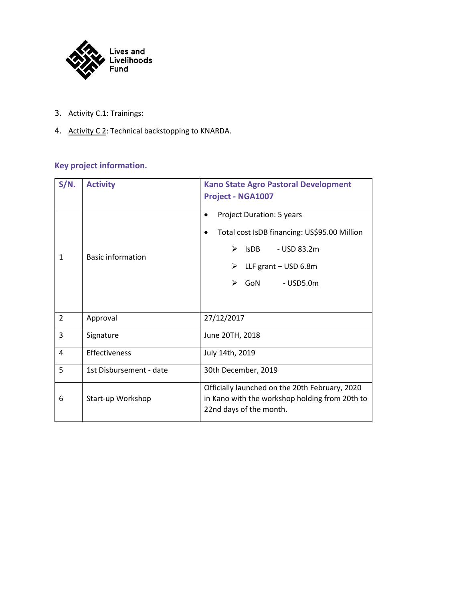

- 3. Activity C.1: Trainings:
- 4. Activity C 2: Technical backstopping to KNARDA.

# **Key project information.**

| $S/N$ .        | <b>Activity</b>          | <b>Kano State Agro Pastoral Development</b><br><b>Project - NGA1007</b>                                                                                                 |
|----------------|--------------------------|-------------------------------------------------------------------------------------------------------------------------------------------------------------------------|
| $\mathbf{1}$   | <b>Basic information</b> | Project Duration: 5 years<br>Total cost IsDB financing: US\$95.00 Million<br>٠<br><b>IsDB</b><br>- USD 83.2m<br>⋗<br>LLF grant - USD 6.8m<br>$-$ USD5.0 $m$<br>GoN<br>➤ |
| $\overline{2}$ | Approval                 | 27/12/2017                                                                                                                                                              |
| 3              | Signature                | June 20TH, 2018                                                                                                                                                         |
| $\overline{4}$ | Effectiveness            | July 14th, 2019                                                                                                                                                         |
| 5              | 1st Disbursement - date  | 30th December, 2019                                                                                                                                                     |
| 6              | Start-up Workshop        | Officially launched on the 20th February, 2020<br>in Kano with the workshop holding from 20th to<br>22nd days of the month.                                             |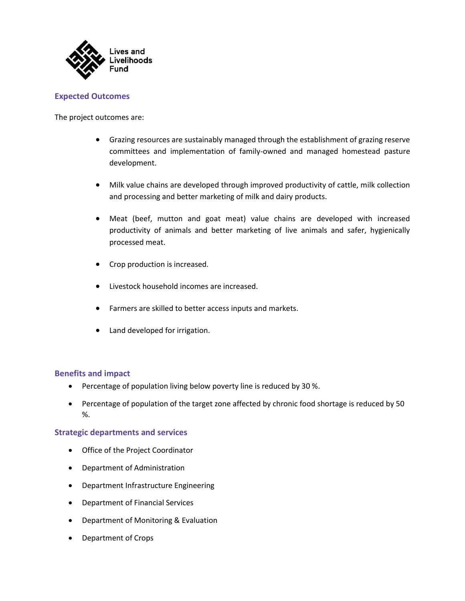

## **Expected Outcomes**

The project outcomes are:

- Grazing resources are sustainably managed through the establishment of grazing reserve committees and implementation of family-owned and managed homestead pasture development.
- Milk value chains are developed through improved productivity of cattle, milk collection and processing and better marketing of milk and dairy products.
- Meat (beef, mutton and goat meat) value chains are developed with increased productivity of animals and better marketing of live animals and safer, hygienically processed meat.
- Crop production is increased.
- Livestock household incomes are increased.
- Farmers are skilled to better access inputs and markets.
- Land developed for irrigation.

### **Benefits and impact**

- Percentage of population living below poverty line is reduced by 30 %.
- Percentage of population of the target zone affected by chronic food shortage is reduced by 50 %.

### **Strategic departments and services**

- Office of the Project Coordinator
- Department of Administration
- Department Infrastructure Engineering
- Department of Financial Services
- Department of Monitoring & Evaluation
- Department of Crops